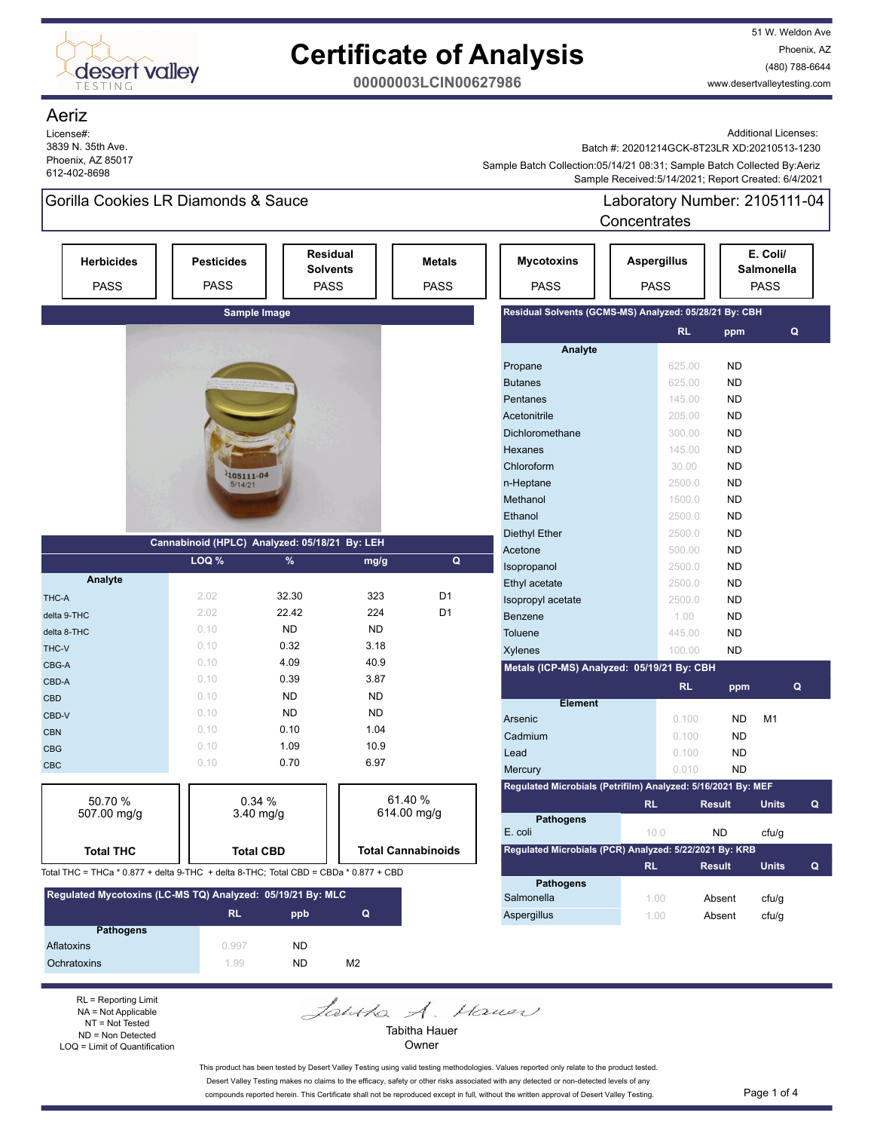

51 W. Weldon Ave Phoenix, AZ (480) 788-6644 www.desertvalleytesting.com

**00000003LCIN00627986**

#### Aeriz

License#: 3839 N. 35th Ave. Phoenix, AZ 85017 612-402-8698

Additional Licenses:

Batch #: 20201214GCK-8T23LR XD:20210513-1230

 Sample Received:5/14/2021; Report Created: 6/4/2021 Sample Batch Collection:05/14/21 08:31; Sample Batch Collected By:Aeriz

### Gorilla Cookies LR Diamonds & Sauce Laboratory Number: 2105111-04

**Concentrates** 

|                        | <b>Herbicides</b><br><b>PASS</b>                                                     | <b>Pesticides</b><br><b>PASS</b>              |                  | <b>Residual</b><br><b>Solvents</b><br><b>PASS</b> | <b>Metals</b><br><b>PASS</b> | <b>Mycotoxins</b><br><b>PASS</b>                             | <b>Aspergillus</b><br><b>PASS</b> |                     | E. Coli/<br>Salmonella<br><b>PASS</b> |                |   |
|------------------------|--------------------------------------------------------------------------------------|-----------------------------------------------|------------------|---------------------------------------------------|------------------------------|--------------------------------------------------------------|-----------------------------------|---------------------|---------------------------------------|----------------|---|
|                        |                                                                                      |                                               | Sample Image     |                                                   |                              | Residual Solvents (GCMS-MS) Analyzed: 05/28/21 By: CBH       |                                   |                     |                                       |                |   |
|                        |                                                                                      |                                               |                  |                                                   |                              |                                                              |                                   | <b>RL</b><br>ppm    |                                       | Q              |   |
|                        |                                                                                      |                                               |                  |                                                   |                              | Analyte                                                      |                                   |                     |                                       |                |   |
|                        |                                                                                      |                                               |                  |                                                   |                              | Propane                                                      |                                   | <b>ND</b><br>625.00 |                                       |                |   |
|                        |                                                                                      |                                               |                  |                                                   |                              | <b>Butanes</b>                                               |                                   | <b>ND</b><br>625.00 |                                       |                |   |
|                        |                                                                                      |                                               |                  |                                                   |                              | Pentanes                                                     |                                   | <b>ND</b><br>145.00 |                                       |                |   |
|                        |                                                                                      |                                               |                  |                                                   |                              | Acetonitrile                                                 |                                   | <b>ND</b><br>205.00 |                                       |                |   |
|                        |                                                                                      |                                               |                  |                                                   |                              | Dichloromethane                                              |                                   | <b>ND</b><br>300.00 |                                       |                |   |
|                        |                                                                                      |                                               |                  |                                                   |                              | Hexanes                                                      |                                   | <b>ND</b><br>145.00 |                                       |                |   |
|                        |                                                                                      | 105111-04                                     |                  |                                                   |                              | Chloroform                                                   |                                   | <b>ND</b><br>30.00  |                                       |                |   |
|                        |                                                                                      | 5/14/21                                       |                  |                                                   |                              | n-Heptane                                                    |                                   | <b>ND</b><br>2500.0 |                                       |                |   |
|                        |                                                                                      |                                               |                  |                                                   |                              | Methanol                                                     |                                   | <b>ND</b><br>1500.0 |                                       |                |   |
|                        |                                                                                      |                                               |                  |                                                   |                              | Ethanol                                                      |                                   | <b>ND</b><br>2500.0 |                                       |                |   |
|                        |                                                                                      | Cannabinoid (HPLC) Analyzed: 05/18/21 By: LEH |                  |                                                   |                              | <b>Diethyl Ether</b>                                         |                                   | <b>ND</b><br>2500.0 |                                       |                |   |
|                        |                                                                                      |                                               |                  |                                                   |                              | Acetone                                                      |                                   | <b>ND</b><br>500.00 |                                       |                |   |
|                        |                                                                                      | LOQ %                                         | $\%$             | mg/g                                              | Q                            | Isopropanol                                                  |                                   | <b>ND</b><br>2500.0 |                                       |                |   |
|                        | Analyte                                                                              |                                               |                  |                                                   |                              | Ethyl acetate                                                |                                   | 2500.0<br><b>ND</b> |                                       |                |   |
| THC-A                  |                                                                                      | 2.02                                          | 32.30            | 323                                               | D <sub>1</sub>               | Isopropyl acetate                                            |                                   | <b>ND</b><br>2500.0 |                                       |                |   |
|                        | delta 9-THC                                                                          | 2.02                                          | 22.42            | 224                                               | D <sub>1</sub>               | Benzene                                                      |                                   | <b>ND</b><br>1.00   |                                       |                |   |
|                        | delta 8-THC                                                                          | 0.10                                          | <b>ND</b>        | <b>ND</b>                                         |                              | Toluene                                                      |                                   | <b>ND</b><br>445.00 |                                       |                |   |
| THC-V                  |                                                                                      | 0.10                                          | 0.32             | 3.18                                              |                              | <b>Xylenes</b>                                               |                                   | <b>ND</b><br>100.00 |                                       |                |   |
| CBG-A                  |                                                                                      | 0.10                                          | 4.09             | 40.9                                              |                              | Metals (ICP-MS) Analyzed: 05/19/21 By: CBH                   |                                   |                     |                                       |                |   |
| CBD-A                  |                                                                                      | 0.10                                          | 0.39             | 3.87                                              |                              |                                                              |                                   | <b>RL</b>           | ppm                                   | Q              |   |
| CBD                    |                                                                                      | 0.10                                          | <b>ND</b>        | <b>ND</b>                                         |                              | <b>Element</b>                                               |                                   |                     |                                       |                |   |
| CBD-V                  |                                                                                      | 0.10                                          | <b>ND</b>        | <b>ND</b>                                         |                              | Arsenic                                                      |                                   | 0.100               | <b>ND</b>                             | M <sub>1</sub> |   |
| <b>CBN</b>             |                                                                                      | 0.10                                          | 0.10             | 1.04                                              |                              | Cadmium                                                      |                                   | 0.100               | <b>ND</b>                             |                |   |
| <b>CBG</b>             |                                                                                      | 0.10                                          | 1.09             | 10.9                                              |                              | Lead                                                         |                                   | 0.100               | <b>ND</b>                             |                |   |
| <b>CBC</b>             |                                                                                      | 0.10                                          | 0.70             | 6.97                                              |                              | Mercury                                                      |                                   | 0.010               | <b>ND</b>                             |                |   |
|                        |                                                                                      |                                               |                  |                                                   |                              | Regulated Microbials (Petrifilm) Analyzed: 5/16/2021 By: MEF |                                   |                     |                                       |                |   |
| 50.70 %<br>507.00 mg/g |                                                                                      | 0.34%                                         |                  |                                                   | 61.40 %                      |                                                              | <b>RL</b>                         | <b>Result</b>       |                                       | <b>Units</b>   | Q |
|                        |                                                                                      |                                               | $3.40$ mg/g      |                                                   | 614.00 mg/g                  | <b>Pathogens</b>                                             |                                   |                     |                                       |                |   |
|                        |                                                                                      |                                               |                  |                                                   |                              | E. coli                                                      | 10.0                              | ND                  |                                       | ctu/g          |   |
|                        | <b>Total THC</b>                                                                     |                                               | <b>Total CBD</b> |                                                   | <b>Total Cannabinoids</b>    | Regulated Microbials (PCR) Analyzed: 5/22/2021 By: KRB       |                                   |                     |                                       |                |   |
|                        | Total THC = THCa * 0.877 + delta 9-THC + delta 8-THC; Total CBD = CBDa * 0.877 + CBD |                                               |                  |                                                   |                              |                                                              | <b>RL</b>                         | <b>Result</b>       |                                       | <b>Units</b>   | Q |
|                        | Regulated Mycotoxins (LC-MS TQ) Analyzed: 05/19/21 By: MLC                           |                                               |                  |                                                   |                              | <b>Pathogens</b>                                             |                                   |                     |                                       |                |   |
|                        |                                                                                      |                                               |                  |                                                   |                              | Salmonella                                                   | 1.00                              | Absent              |                                       | ctu/g          |   |
|                        |                                                                                      | <b>RL</b>                                     | ppb              | Q                                                 |                              | Aspergillus                                                  | 1.00                              | Absent              |                                       | ctu/g          |   |
|                        | <b>Pathogens</b>                                                                     |                                               |                  |                                                   |                              |                                                              |                                   |                     |                                       |                |   |

| Ochratoxins                                  | 199 | ND | M2     |  |
|----------------------------------------------|-----|----|--------|--|
|                                              |     |    |        |  |
| $RL = Reporting Limit$                       |     |    | Tahtha |  |
| $NA = Not Applicable$<br>$NIT - Nort$ Tootad |     |    |        |  |

NA = Not Applicable NT = Not Tested ND = Non Detected LOQ = Limit of Quantification

Aflatoxins ND 0.997 ND

A. Hauer

Tabitha Hauer Owner

This product has been tested by Desert Valley Testing using valid testing methodologies. Values reported only relate to the product tested. Desert Valley Testing makes no claims to the efficacy, safety or other risks associated with any detected or non-detected levels of any compounds reported herein. This Certificate shall not be reproduced except in full, without the written approval of Desert Valley Testing. Page 1 of 4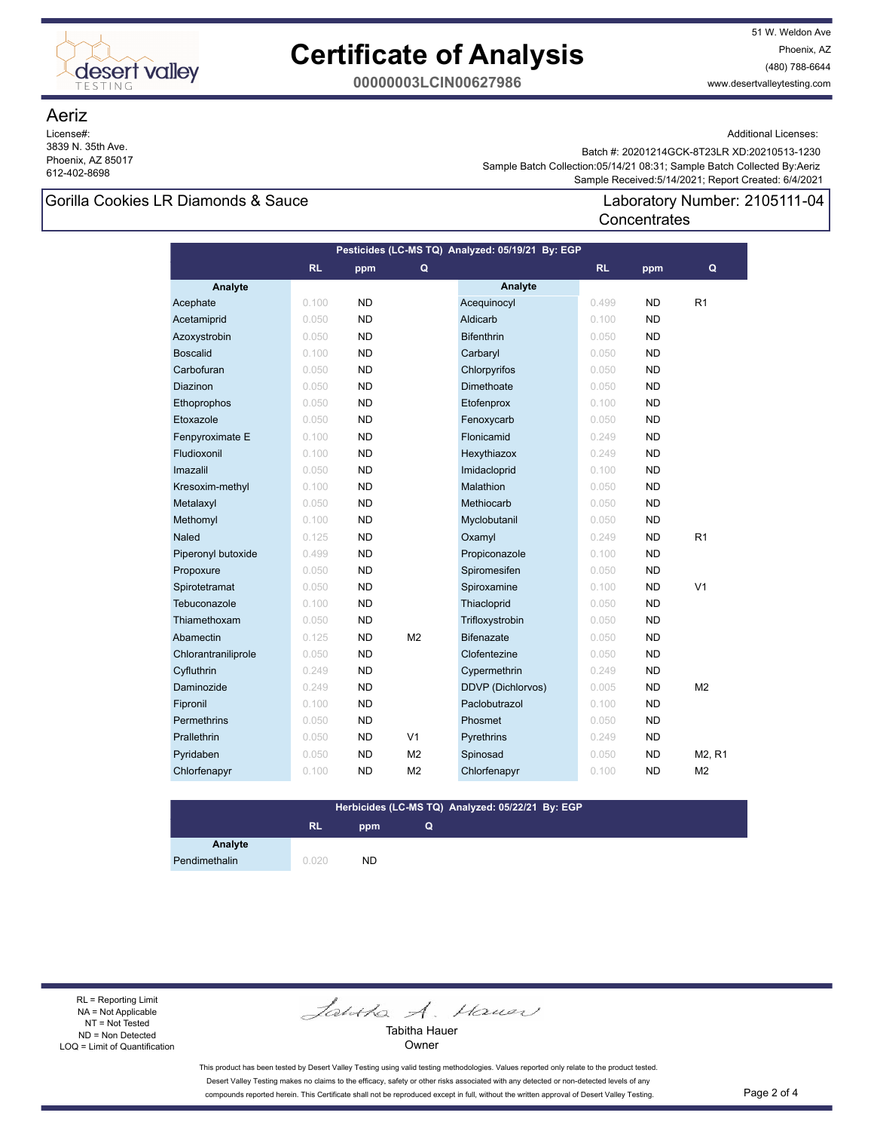

51 W. Weldon Ave Phoenix, AZ (480) 788-6644 www.desertvalleytesting.com

**00000003LCIN00627986**

### Aeriz

License#: 3839 N. 35th Ave. Phoenix, AZ 85017 612-402-8698

Additional Licenses:

 Sample Received:5/14/2021; Report Created: 6/4/2021 Sample Batch Collection:05/14/21 08:31; Sample Batch Collected By:Aeriz Batch #: 20201214GCK-8T23LR XD:20210513-1230

**Concentrates** 

### Gorilla Cookies LR Diamonds & Sauce Laboratory Number: 2105111-04

| Pesticides (LC-MS TQ) Analyzed: 05/19/21 By: EGP |           |           |                |                          |       |           |                                 |  |
|--------------------------------------------------|-----------|-----------|----------------|--------------------------|-------|-----------|---------------------------------|--|
|                                                  | <b>RL</b> | ppm       | Q              |                          | RL    | ppm       | Q                               |  |
| Analyte                                          |           |           |                | Analyte                  |       |           |                                 |  |
| Acephate                                         | 0.100     | <b>ND</b> |                | Acequinocyl              | 0.499 | <b>ND</b> | R <sub>1</sub>                  |  |
| Acetamiprid                                      | 0.050     | <b>ND</b> |                | Aldicarb                 | 0.100 | <b>ND</b> |                                 |  |
| Azoxystrobin                                     | 0.050     | <b>ND</b> |                | <b>Bifenthrin</b>        | 0.050 | <b>ND</b> |                                 |  |
| <b>Boscalid</b>                                  | 0.100     | <b>ND</b> |                | Carbaryl                 | 0.050 | <b>ND</b> |                                 |  |
| Carbofuran                                       | 0.050     | <b>ND</b> |                | Chlorpyrifos             | 0.050 | <b>ND</b> |                                 |  |
| Diazinon                                         | 0.050     | <b>ND</b> |                | Dimethoate               | 0.050 | <b>ND</b> |                                 |  |
| Ethoprophos                                      | 0.050     | <b>ND</b> |                | Etofenprox               | 0.100 | <b>ND</b> |                                 |  |
| Etoxazole                                        | 0.050     | <b>ND</b> |                | Fenoxycarb               | 0.050 | <b>ND</b> |                                 |  |
| Fenpyroximate E                                  | 0.100     | <b>ND</b> |                | Flonicamid               | 0.249 | <b>ND</b> |                                 |  |
| Fludioxonil                                      | 0.100     | <b>ND</b> |                | Hexythiazox              | 0.249 | <b>ND</b> |                                 |  |
| Imazalil                                         | 0.050     | <b>ND</b> |                | Imidacloprid             | 0.100 | <b>ND</b> |                                 |  |
| Kresoxim-methyl                                  | 0.100     | <b>ND</b> |                | Malathion                | 0.050 | <b>ND</b> |                                 |  |
| Metalaxyl                                        | 0.050     | <b>ND</b> |                | Methiocarb               | 0.050 | <b>ND</b> |                                 |  |
| Methomyl                                         | 0.100     | <b>ND</b> |                | Myclobutanil             | 0.050 | <b>ND</b> |                                 |  |
| Naled                                            | 0.125     | <b>ND</b> |                | Oxamyl                   | 0.249 | <b>ND</b> | R <sub>1</sub>                  |  |
| Piperonyl butoxide                               | 0.499     | <b>ND</b> |                | Propiconazole            | 0.100 | <b>ND</b> |                                 |  |
| Propoxure                                        | 0.050     | <b>ND</b> |                | Spiromesifen             | 0.050 | <b>ND</b> |                                 |  |
| Spirotetramat                                    | 0.050     | <b>ND</b> |                | Spiroxamine              | 0.100 | <b>ND</b> | V <sub>1</sub>                  |  |
| Tebuconazole                                     | 0.100     | <b>ND</b> |                | Thiacloprid              | 0.050 | <b>ND</b> |                                 |  |
| Thiamethoxam                                     | 0.050     | <b>ND</b> |                | Trifloxystrobin          | 0.050 | <b>ND</b> |                                 |  |
| Abamectin                                        | 0.125     | <b>ND</b> | M <sub>2</sub> | <b>Bifenazate</b>        | 0.050 | <b>ND</b> |                                 |  |
| Chlorantraniliprole                              | 0.050     | <b>ND</b> |                | Clofentezine             | 0.050 | <b>ND</b> |                                 |  |
| Cyfluthrin                                       | 0.249     | <b>ND</b> |                | Cypermethrin             | 0.249 | <b>ND</b> |                                 |  |
| Daminozide                                       | 0.249     | <b>ND</b> |                | <b>DDVP (Dichlorvos)</b> | 0.005 | <b>ND</b> | M <sub>2</sub>                  |  |
| Fipronil                                         | 0.100     | <b>ND</b> |                | Paclobutrazol            | 0.100 | <b>ND</b> |                                 |  |
| Permethrins                                      | 0.050     | <b>ND</b> |                | Phosmet                  | 0.050 | <b>ND</b> |                                 |  |
| Prallethrin                                      | 0.050     | <b>ND</b> | V <sub>1</sub> | Pyrethrins               | 0.249 | <b>ND</b> |                                 |  |
| Pyridaben                                        | 0.050     | <b>ND</b> | M <sub>2</sub> | Spinosad                 | 0.050 | <b>ND</b> | M <sub>2</sub> , R <sub>1</sub> |  |
| Chlorfenapyr                                     | 0.100     | <b>ND</b> | M <sub>2</sub> | Chlorfenapyr             | 0.100 | <b>ND</b> | M <sub>2</sub>                  |  |
|                                                  |           |           |                |                          |       |           |                                 |  |

#### **Herbicides (LC-MS TQ) Analyzed: 05/22/21 By: EGP**

**Q**

### **RL ppm**

**Analyte** Pendimethalin 0.020 ND

RL = Reporting Limit NA = Not Applicable NT = Not Tested ND = Non Detected LOQ = Limit of Quantification

Jantha A. Hauer

Tabitha Hauer Owner

This product has been tested by Desert Valley Testing using valid testing methodologies. Values reported only relate to the product tested. Desert Valley Testing makes no claims to the efficacy, safety or other risks associated with any detected or non-detected levels of any compounds reported herein. This Certificate shall not be reproduced except in full, without the written approval of Desert Valley Testing. Page 2 of 4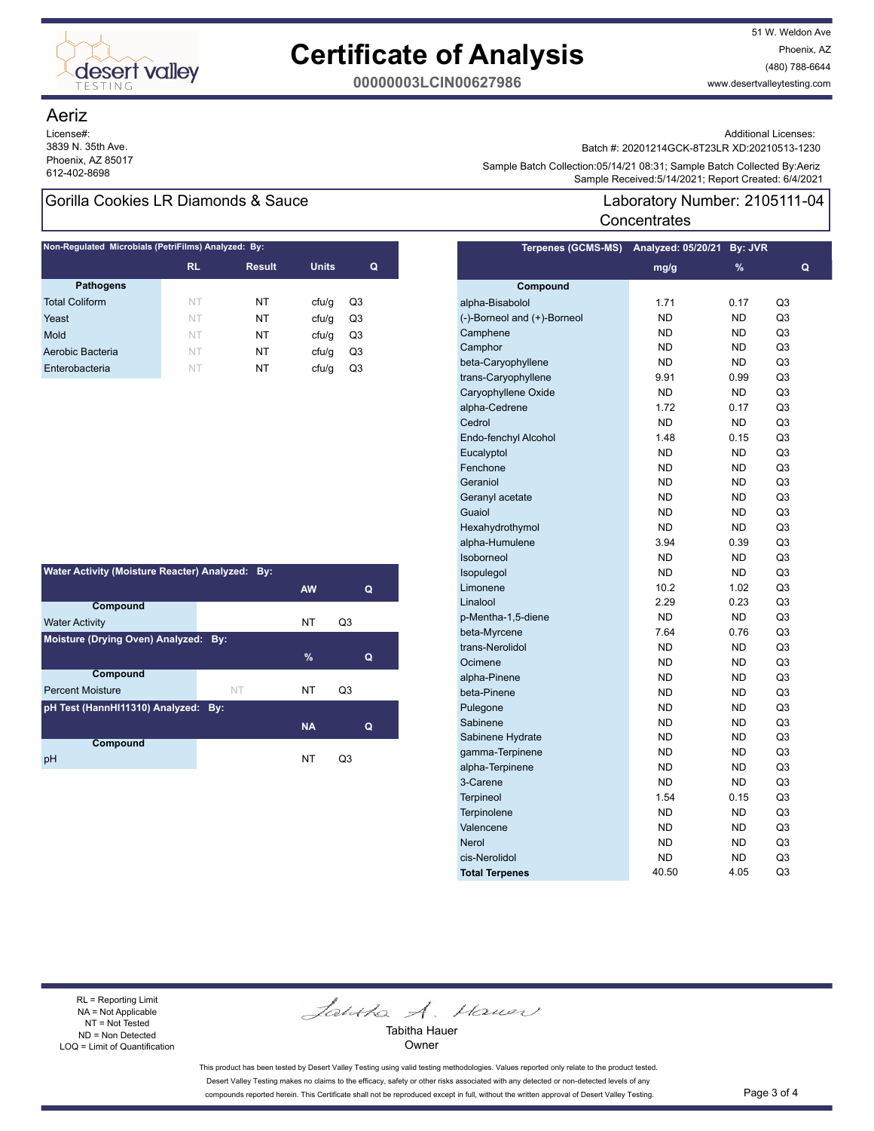

51 W. Weldon Ave Phoenix, AZ (480) 788-6644 www.desertvalleytesting.com

**00000003LCIN00627986**

### Aeriz

License#: 3839 N. 35th Ave. Phoenix, AZ 85017

### Gorilla Cookies LR Diamonds & Sauce Laboratory Number: 2105111-04

| Non-Regulated Microbials (PetriFilms) Analyzed: By: |           |               |              |    |  |  |  |  |
|-----------------------------------------------------|-----------|---------------|--------------|----|--|--|--|--|
|                                                     | <b>RL</b> | <b>Result</b> | <b>Units</b> | Q  |  |  |  |  |
| <b>Pathogens</b>                                    |           |               |              |    |  |  |  |  |
| <b>Total Coliform</b>                               | NT        | NT            | cfu/q        | Q3 |  |  |  |  |
| Yeast                                               | NT        | NT            | cfu/q        | Q3 |  |  |  |  |
| Mold                                                | NT        | NT            | cfu/q        | Q3 |  |  |  |  |
| Aerobic Bacteria                                    | NT        | NT            | cfu/q        | Q3 |  |  |  |  |
| Enterobacteria                                      | NT        | NT            | cfu/q        | Q3 |  |  |  |  |

| Water Activity (Moisture Reacter) Analyzed: By: |           |           |    |  |  |  |  |  |
|-------------------------------------------------|-----------|-----------|----|--|--|--|--|--|
|                                                 |           | <b>AW</b> | Q  |  |  |  |  |  |
| Compound                                        |           |           |    |  |  |  |  |  |
| <b>Water Activity</b>                           |           | <b>NT</b> | Q3 |  |  |  |  |  |
| Moisture (Drying Oven) Analyzed: By:            |           |           |    |  |  |  |  |  |
|                                                 |           | $\%$      | Q  |  |  |  |  |  |
| Compound                                        |           |           |    |  |  |  |  |  |
| <b>Percent Moisture</b>                         | <b>NT</b> | NT        | Q3 |  |  |  |  |  |
| pH Test (HannHI11310) Analyzed: By:             |           |           |    |  |  |  |  |  |
|                                                 |           | <b>NA</b> | Q  |  |  |  |  |  |
| Compound                                        |           |           |    |  |  |  |  |  |
| pH                                              |           | NT        | O3 |  |  |  |  |  |

Additional Licenses:

Batch #: 20201214GCK-8T23LR XD:20210513-1230

Sample Batter Collection.com HP2T 06.51, Sample Batter Collection.com HP2T 06.51, Sample Batter Collection.com<br>Sample Received:5/14/2021; Report Created: 6/4/2021 Sample Batch Collection:05/14/21 08:31; Sample Batch Collected By:Aeriz

# **Concentrates**

| <b>Terpenes (GCMS-MS)</b>   | Analyzed: 05/20/21 | By: JVR   |                |
|-----------------------------|--------------------|-----------|----------------|
|                             | mg/g               | %         | Q              |
| Compound                    |                    |           |                |
| alpha-Bisabolol             | 1.71               | 0.17      | Q3             |
| (-)-Borneol and (+)-Borneol | <b>ND</b>          | <b>ND</b> | Q3             |
| Camphene                    | <b>ND</b>          | <b>ND</b> | Q3             |
| Camphor                     | <b>ND</b>          | <b>ND</b> | Q3             |
| beta-Caryophyllene          | <b>ND</b>          | <b>ND</b> | Q3             |
| trans-Caryophyllene         | 9.91               | 0.99      | Q3             |
| Caryophyllene Oxide         | <b>ND</b>          | ND        | Q3             |
| alpha-Cedrene               | 1.72               | 0.17      | Q3             |
| Cedrol                      | <b>ND</b>          | <b>ND</b> | Q3             |
| Endo-fenchyl Alcohol        | 1.48               | 0.15      | Q <sub>3</sub> |
| Eucalyptol                  | <b>ND</b>          | <b>ND</b> | Q3             |
| Fenchone                    | <b>ND</b>          | <b>ND</b> | Q3             |
| Geraniol                    | <b>ND</b>          | <b>ND</b> | Q3             |
| Geranyl acetate             | <b>ND</b>          | <b>ND</b> | Q3             |
| Guaiol                      | <b>ND</b>          | <b>ND</b> | Q3             |
| Hexahydrothymol             | <b>ND</b>          | <b>ND</b> | Q3             |
| alpha-Humulene              | 3.94               | 0.39      | Q3             |
| Isoborneol                  | <b>ND</b>          | <b>ND</b> | Q <sub>3</sub> |
| Isopulegol                  | <b>ND</b>          | <b>ND</b> | Q <sub>3</sub> |
| Limonene                    | 10.2               | 1.02      | Q3             |
| Linalool                    | 2.29               | 0.23      | Q3             |
| p-Mentha-1,5-diene          | <b>ND</b>          | <b>ND</b> | Q3             |
| beta-Myrcene                | 7.64               | 0.76      | Q3             |
| trans-Nerolidol             | ND                 | ND        | Q3             |
| Ocimene                     | ND                 | <b>ND</b> | Q3             |
| alpha-Pinene                | <b>ND</b>          | <b>ND</b> | Q <sub>3</sub> |
| beta-Pinene                 | <b>ND</b>          | <b>ND</b> | Q <sub>3</sub> |
| Pulegone                    | <b>ND</b>          | <b>ND</b> | Q3             |
| Sabinene                    | <b>ND</b>          | <b>ND</b> | Q3             |
| Sabinene Hydrate            | <b>ND</b>          | <b>ND</b> | Q3             |
| gamma-Terpinene             | ND                 | ND        | Q3             |
| alpha-Terpinene             | <b>ND</b>          | <b>ND</b> | Q3             |
| 3-Carene                    | <b>ND</b>          | <b>ND</b> | Q3             |
| <b>Terpineol</b>            | 1.54               | 0.15      | Q <sub>3</sub> |
| Terpinolene                 | ND                 | ND        | Q3             |
| Valencene                   | ND                 | ND        | Q3             |
| <b>Nerol</b>                | ND                 | ND        | Q3             |
| cis-Nerolidol               | ND                 | <b>ND</b> | Q3             |
| <b>Total Terpenes</b>       | 40.50              | 4.05      | Q3             |

RL = Reporting Limit NA = Not Applicable NT = Not Tested ND = Non Detected LOQ = Limit of Quantification

Jantha A. Hauer

Tabitha Hauer Owner

This product has been tested by Desert Valley Testing using valid testing methodologies. Values reported only relate to the product tested. Desert Valley Testing makes no claims to the efficacy, safety or other risks associated with any detected or non-detected levels of any compounds reported herein. This Certificate shall not be reproduced except in full, without the written approval of Desert Valley Testing. Page 3 of 4